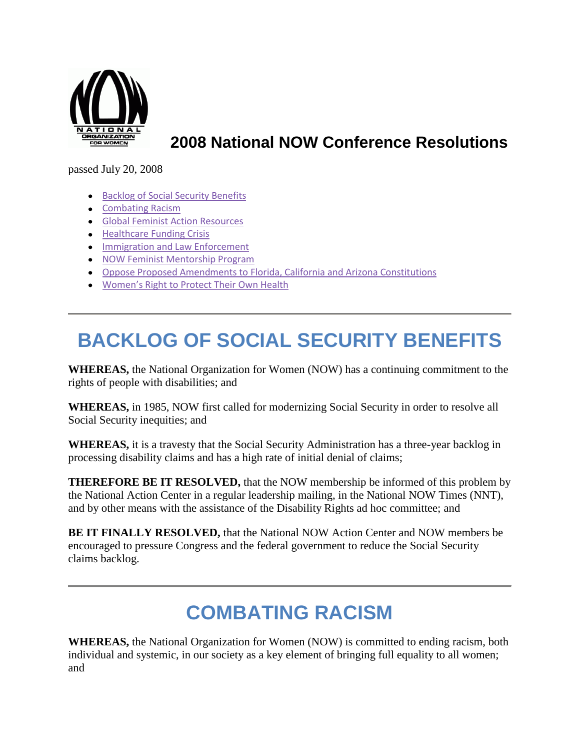

#### **2008 National NOW Conference Resolutions**

passed July 20, 2008

- **[Backlog of Social Security Benefits](http://now.org/about/conference-resolutions/2008-national-now-conference-resolutions/#backlog)**
- [Combating Racism](http://now.org/about/conference-resolutions/2008-national-now-conference-resolutions/#racism)
- **[Global Feminist Action Resources](http://now.org/about/conference-resolutions/2008-national-now-conference-resolutions/#globalfeminist)**
- **[Healthcare Funding Crisis](http://now.org/about/conference-resolutions/2008-national-now-conference-resolutions/#healthcare)**
- **[Immigration and Law Enforcement](http://now.org/about/conference-resolutions/2008-national-now-conference-resolutions/#immigration)**
- [NOW Feminist Mentorship Program](http://now.org/about/conference-resolutions/2008-national-now-conference-resolutions/#mentor)
- [Oppose Proposed Amendments to Florida, California and Arizona Constitutions](http://now.org/about/conference-resolutions/2008-national-now-conference-resolutions/#flcaaz)
- [Women's Right to Protect Their](http://now.org/about/conference-resolutions/2008-national-now-conference-resolutions/#repro) Own Health

# **BACKLOG OF SOCIAL SECURITY BENEFITS**

**WHEREAS,** the National Organization for Women (NOW) has a continuing commitment to the rights of people with disabilities; and

**WHEREAS,** in 1985, NOW first called for modernizing Social Security in order to resolve all Social Security inequities; and

**WHEREAS,** it is a travesty that the Social Security Administration has a three-year backlog in processing disability claims and has a high rate of initial denial of claims;

**THEREFORE BE IT RESOLVED,** that the NOW membership be informed of this problem by the National Action Center in a regular leadership mailing, in the National NOW Times (NNT), and by other means with the assistance of the Disability Rights ad hoc committee; and

**BE IT FINALLY RESOLVED,** that the National NOW Action Center and NOW members be encouraged to pressure Congress and the federal government to reduce the Social Security claims backlog.

## **COMBATING RACISM**

**WHEREAS,** the National Organization for Women (NOW) is committed to ending racism, both individual and systemic, in our society as a key element of bringing full equality to all women; and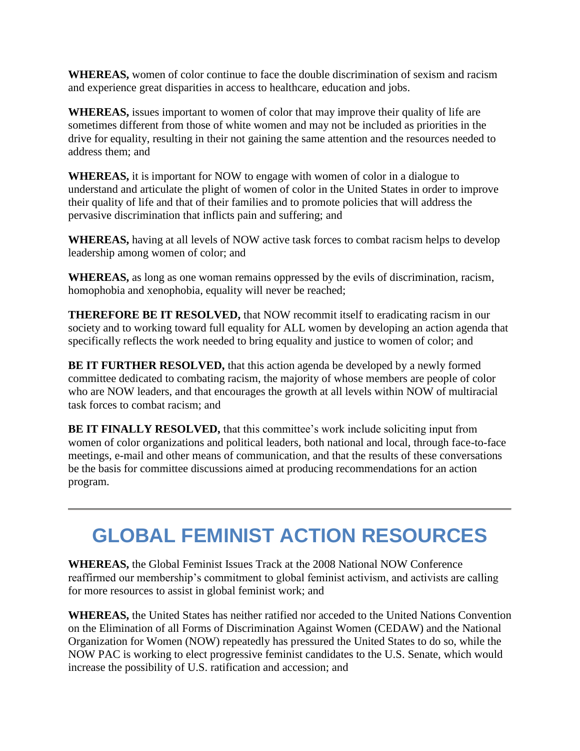**WHEREAS,** women of color continue to face the double discrimination of sexism and racism and experience great disparities in access to healthcare, education and jobs.

**WHEREAS,** issues important to women of color that may improve their quality of life are sometimes different from those of white women and may not be included as priorities in the drive for equality, resulting in their not gaining the same attention and the resources needed to address them; and

**WHEREAS,** it is important for NOW to engage with women of color in a dialogue to understand and articulate the plight of women of color in the United States in order to improve their quality of life and that of their families and to promote policies that will address the pervasive discrimination that inflicts pain and suffering; and

**WHEREAS,** having at all levels of NOW active task forces to combat racism helps to develop leadership among women of color; and

**WHEREAS,** as long as one woman remains oppressed by the evils of discrimination, racism, homophobia and xenophobia, equality will never be reached;

**THEREFORE BE IT RESOLVED,** that NOW recommit itself to eradicating racism in our society and to working toward full equality for ALL women by developing an action agenda that specifically reflects the work needed to bring equality and justice to women of color; and

**BE IT FURTHER RESOLVED,** that this action agenda be developed by a newly formed committee dedicated to combating racism, the majority of whose members are people of color who are NOW leaders, and that encourages the growth at all levels within NOW of multiracial task forces to combat racism; and

**BE IT FINALLY RESOLVED,** that this committee's work include soliciting input from women of color organizations and political leaders, both national and local, through face-to-face meetings, e-mail and other means of communication, and that the results of these conversations be the basis for committee discussions aimed at producing recommendations for an action program.

## **GLOBAL FEMINIST ACTION RESOURCES**

**WHEREAS,** the Global Feminist Issues Track at the 2008 National NOW Conference reaffirmed our membership's commitment to global feminist activism, and activists are calling for more resources to assist in global feminist work; and

**WHEREAS,** the United States has neither ratified nor acceded to the United Nations Convention on the Elimination of all Forms of Discrimination Against Women (CEDAW) and the National Organization for Women (NOW) repeatedly has pressured the United States to do so, while the NOW PAC is working to elect progressive feminist candidates to the U.S. Senate, which would increase the possibility of U.S. ratification and accession; and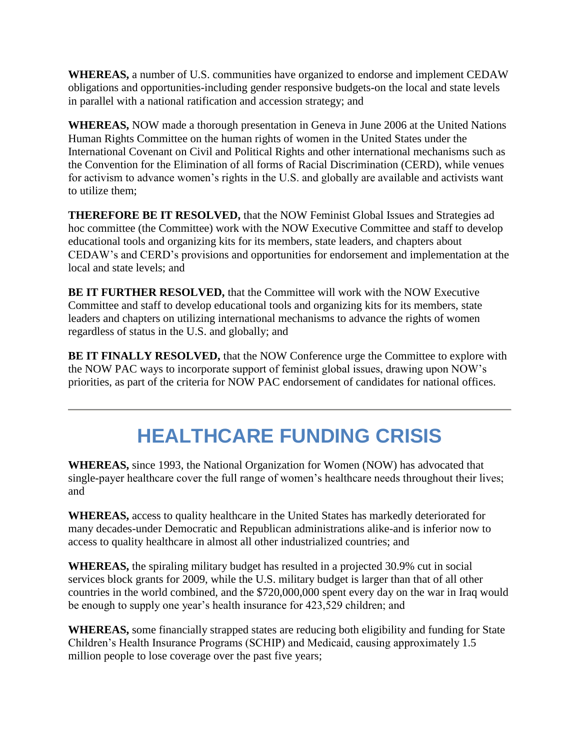**WHEREAS,** a number of U.S. communities have organized to endorse and implement CEDAW obligations and opportunities-including gender responsive budgets-on the local and state levels in parallel with a national ratification and accession strategy; and

**WHEREAS,** NOW made a thorough presentation in Geneva in June 2006 at the United Nations Human Rights Committee on the human rights of women in the United States under the International Covenant on Civil and Political Rights and other international mechanisms such as the Convention for the Elimination of all forms of Racial Discrimination (CERD), while venues for activism to advance women's rights in the U.S. and globally are available and activists want to utilize them;

**THEREFORE BE IT RESOLVED,** that the NOW Feminist Global Issues and Strategies ad hoc committee (the Committee) work with the NOW Executive Committee and staff to develop educational tools and organizing kits for its members, state leaders, and chapters about CEDAW's and CERD's provisions and opportunities for endorsement and implementation at the local and state levels; and

**BE IT FURTHER RESOLVED,** that the Committee will work with the NOW Executive Committee and staff to develop educational tools and organizing kits for its members, state leaders and chapters on utilizing international mechanisms to advance the rights of women regardless of status in the U.S. and globally; and

**BE IT FINALLY RESOLVED,** that the NOW Conference urge the Committee to explore with the NOW PAC ways to incorporate support of feminist global issues, drawing upon NOW's priorities, as part of the criteria for NOW PAC endorsement of candidates for national offices.

# **HEALTHCARE FUNDING CRISIS**

**WHEREAS,** since 1993, the National Organization for Women (NOW) has advocated that single-payer healthcare cover the full range of women's healthcare needs throughout their lives; and

**WHEREAS,** access to quality healthcare in the United States has markedly deteriorated for many decades-under Democratic and Republican administrations alike-and is inferior now to access to quality healthcare in almost all other industrialized countries; and

**WHEREAS,** the spiraling military budget has resulted in a projected 30.9% cut in social services block grants for 2009, while the U.S. military budget is larger than that of all other countries in the world combined, and the \$720,000,000 spent every day on the war in Iraq would be enough to supply one year's health insurance for 423,529 children; and

**WHEREAS,** some financially strapped states are reducing both eligibility and funding for State Children's Health Insurance Programs (SCHIP) and Medicaid, causing approximately 1.5 million people to lose coverage over the past five years;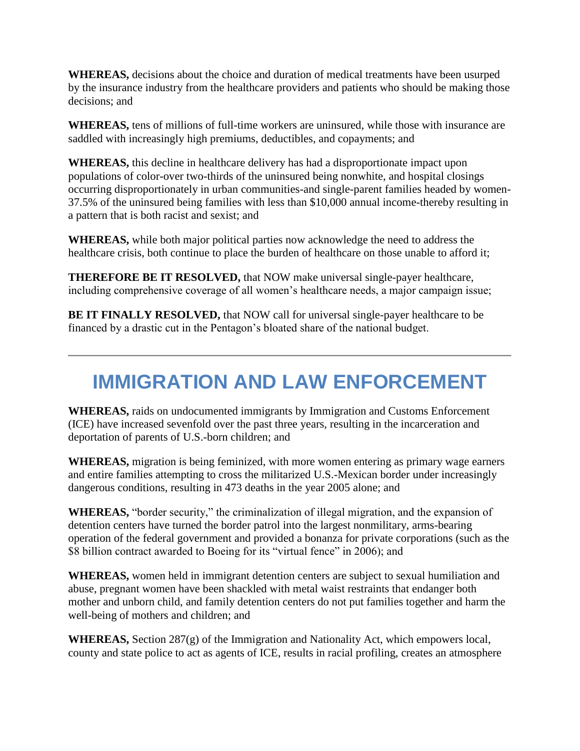**WHEREAS,** decisions about the choice and duration of medical treatments have been usurped by the insurance industry from the healthcare providers and patients who should be making those decisions; and

**WHEREAS,** tens of millions of full-time workers are uninsured, while those with insurance are saddled with increasingly high premiums, deductibles, and copayments; and

**WHEREAS,** this decline in healthcare delivery has had a disproportionate impact upon populations of color-over two-thirds of the uninsured being nonwhite, and hospital closings occurring disproportionately in urban communities-and single-parent families headed by women-37.5% of the uninsured being families with less than \$10,000 annual income-thereby resulting in a pattern that is both racist and sexist; and

**WHEREAS,** while both major political parties now acknowledge the need to address the healthcare crisis, both continue to place the burden of healthcare on those unable to afford it;

**THEREFORE BE IT RESOLVED,** that NOW make universal single-payer healthcare, including comprehensive coverage of all women's healthcare needs, a major campaign issue;

**BE IT FINALLY RESOLVED,** that NOW call for universal single-payer healthcare to be financed by a drastic cut in the Pentagon's bloated share of the national budget.

# **IMMIGRATION AND LAW ENFORCEMENT**

**WHEREAS,** raids on undocumented immigrants by Immigration and Customs Enforcement (ICE) have increased sevenfold over the past three years, resulting in the incarceration and deportation of parents of U.S.-born children; and

**WHEREAS,** migration is being feminized, with more women entering as primary wage earners and entire families attempting to cross the militarized U.S.-Mexican border under increasingly dangerous conditions, resulting in 473 deaths in the year 2005 alone; and

**WHEREAS,** "border security," the criminalization of illegal migration, and the expansion of detention centers have turned the border patrol into the largest nonmilitary, arms-bearing operation of the federal government and provided a bonanza for private corporations (such as the \$8 billion contract awarded to Boeing for its "virtual fence" in 2006); and

**WHEREAS,** women held in immigrant detention centers are subject to sexual humiliation and abuse, pregnant women have been shackled with metal waist restraints that endanger both mother and unborn child, and family detention centers do not put families together and harm the well-being of mothers and children; and

**WHEREAS,** Section 287(g) of the Immigration and Nationality Act, which empowers local, county and state police to act as agents of ICE, results in racial profiling, creates an atmosphere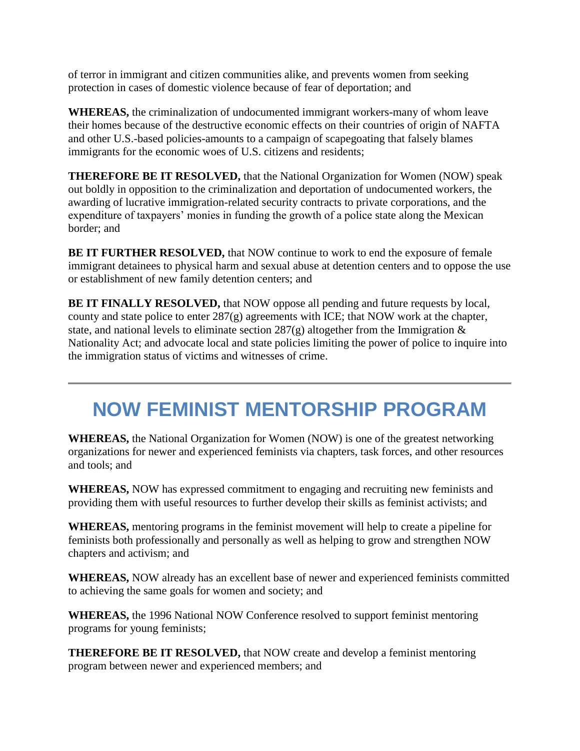of terror in immigrant and citizen communities alike, and prevents women from seeking protection in cases of domestic violence because of fear of deportation; and

**WHEREAS,** the criminalization of undocumented immigrant workers-many of whom leave their homes because of the destructive economic effects on their countries of origin of NAFTA and other U.S.-based policies-amounts to a campaign of scapegoating that falsely blames immigrants for the economic woes of U.S. citizens and residents;

**THEREFORE BE IT RESOLVED,** that the National Organization for Women (NOW) speak out boldly in opposition to the criminalization and deportation of undocumented workers, the awarding of lucrative immigration-related security contracts to private corporations, and the expenditure of taxpayers' monies in funding the growth of a police state along the Mexican border; and

**BE IT FURTHER RESOLVED,** that NOW continue to work to end the exposure of female immigrant detainees to physical harm and sexual abuse at detention centers and to oppose the use or establishment of new family detention centers; and

**BE IT FINALLY RESOLVED,** that NOW oppose all pending and future requests by local, county and state police to enter 287(g) agreements with ICE; that NOW work at the chapter, state, and national levels to eliminate section  $287(g)$  altogether from the Immigration  $\&$ Nationality Act; and advocate local and state policies limiting the power of police to inquire into the immigration status of victims and witnesses of crime.

#### **NOW FEMINIST MENTORSHIP PROGRAM**

**WHEREAS,** the National Organization for Women (NOW) is one of the greatest networking organizations for newer and experienced feminists via chapters, task forces, and other resources and tools; and

**WHEREAS,** NOW has expressed commitment to engaging and recruiting new feminists and providing them with useful resources to further develop their skills as feminist activists; and

**WHEREAS,** mentoring programs in the feminist movement will help to create a pipeline for feminists both professionally and personally as well as helping to grow and strengthen NOW chapters and activism; and

**WHEREAS,** NOW already has an excellent base of newer and experienced feminists committed to achieving the same goals for women and society; and

**WHEREAS,** the 1996 National NOW Conference resolved to support feminist mentoring programs for young feminists;

**THEREFORE BE IT RESOLVED,** that NOW create and develop a feminist mentoring program between newer and experienced members; and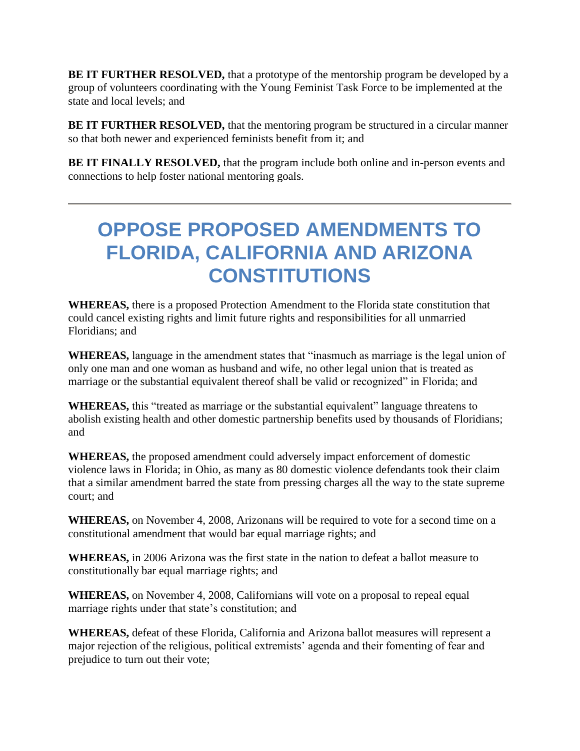**BE IT FURTHER RESOLVED,** that a prototype of the mentorship program be developed by a group of volunteers coordinating with the Young Feminist Task Force to be implemented at the state and local levels; and

**BE IT FURTHER RESOLVED, that the mentoring program be structured in a circular manner** so that both newer and experienced feminists benefit from it; and

**BE IT FINALLY RESOLVED, that the program include both online and in-person events and** connections to help foster national mentoring goals.

#### **OPPOSE PROPOSED AMENDMENTS TO FLORIDA, CALIFORNIA AND ARIZONA CONSTITUTIONS**

**WHEREAS,** there is a proposed Protection Amendment to the Florida state constitution that could cancel existing rights and limit future rights and responsibilities for all unmarried Floridians; and

**WHEREAS,** language in the amendment states that "inasmuch as marriage is the legal union of only one man and one woman as husband and wife, no other legal union that is treated as marriage or the substantial equivalent thereof shall be valid or recognized" in Florida; and

**WHEREAS,** this "treated as marriage or the substantial equivalent" language threatens to abolish existing health and other domestic partnership benefits used by thousands of Floridians; and

**WHEREAS,** the proposed amendment could adversely impact enforcement of domestic violence laws in Florida; in Ohio, as many as 80 domestic violence defendants took their claim that a similar amendment barred the state from pressing charges all the way to the state supreme court; and

**WHEREAS,** on November 4, 2008, Arizonans will be required to vote for a second time on a constitutional amendment that would bar equal marriage rights; and

**WHEREAS,** in 2006 Arizona was the first state in the nation to defeat a ballot measure to constitutionally bar equal marriage rights; and

**WHEREAS,** on November 4, 2008, Californians will vote on a proposal to repeal equal marriage rights under that state's constitution; and

**WHEREAS,** defeat of these Florida, California and Arizona ballot measures will represent a major rejection of the religious, political extremists' agenda and their fomenting of fear and prejudice to turn out their vote;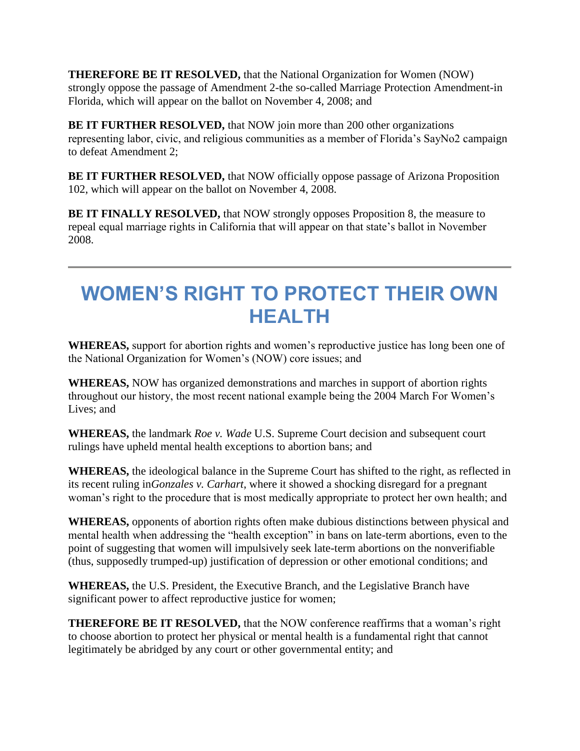**THEREFORE BE IT RESOLVED,** that the National Organization for Women (NOW) strongly oppose the passage of Amendment 2-the so-called Marriage Protection Amendment-in Florida, which will appear on the ballot on November 4, 2008; and

**BE IT FURTHER RESOLVED,** that NOW join more than 200 other organizations representing labor, civic, and religious communities as a member of Florida's SayNo2 campaign to defeat Amendment 2;

**BE IT FURTHER RESOLVED,** that NOW officially oppose passage of Arizona Proposition 102, which will appear on the ballot on November 4, 2008.

**BE IT FINALLY RESOLVED,** that NOW strongly opposes Proposition 8, the measure to repeal equal marriage rights in California that will appear on that state's ballot in November 2008.

## **WOMEN'S RIGHT TO PROTECT THEIR OWN HEALTH**

**WHEREAS,** support for abortion rights and women's reproductive justice has long been one of the National Organization for Women's (NOW) core issues; and

**WHEREAS,** NOW has organized demonstrations and marches in support of abortion rights throughout our history, the most recent national example being the 2004 March For Women's Lives; and

**WHEREAS,** the landmark *Roe v. Wade* U.S. Supreme Court decision and subsequent court rulings have upheld mental health exceptions to abortion bans; and

**WHEREAS,** the ideological balance in the Supreme Court has shifted to the right, as reflected in its recent ruling in*Gonzales v. Carhart*, where it showed a shocking disregard for a pregnant woman's right to the procedure that is most medically appropriate to protect her own health; and

**WHEREAS,** opponents of abortion rights often make dubious distinctions between physical and mental health when addressing the "health exception" in bans on late-term abortions, even to the point of suggesting that women will impulsively seek late-term abortions on the nonverifiable (thus, supposedly trumped-up) justification of depression or other emotional conditions; and

**WHEREAS,** the U.S. President, the Executive Branch, and the Legislative Branch have significant power to affect reproductive justice for women;

**THEREFORE BE IT RESOLVED,** that the NOW conference reaffirms that a woman's right to choose abortion to protect her physical or mental health is a fundamental right that cannot legitimately be abridged by any court or other governmental entity; and